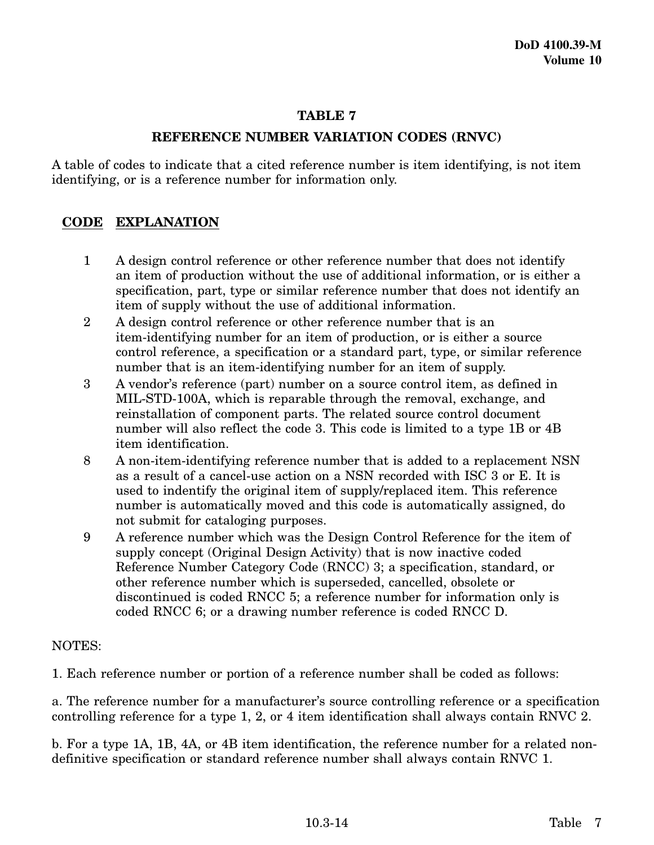## **TABLE 7**

## **REFERENCE NUMBER VARIATION CODES (RNVC)**

A table of codes to indicate that a cited reference number is item identifying, is not item identifying, or is a reference number for information only.

## **CODE EXPLANATION**

- 1 A design control reference or other reference number that does not identify an item of production without the use of additional information, or is either a specification, part, type or similar reference number that does not identify an item of supply without the use of additional information.
- 2 A design control reference or other reference number that is an item-identifying number for an item of production, or is either a source control reference, a specification or a standard part, type, or similar reference number that is an item-identifying number for an item of supply.
- 3 A vendor's reference (part) number on a source control item, as defined in MIL-STD-100A, which is reparable through the removal, exchange, and reinstallation of component parts. The related source control document number will also reflect the code 3. This code is limited to a type 1B or 4B item identification.
- 8 A non-item-identifying reference number that is added to a replacement NSN as a result of a cancel-use action on a NSN recorded with ISC 3 or E. It is used to indentify the original item of supply/replaced item. This reference number is automatically moved and this code is automatically assigned, do not submit for cataloging purposes.
- 9 A reference number which was the Design Control Reference for the item of supply concept (Original Design Activity) that is now inactive coded Reference Number Category Code (RNCC) 3; a specification, standard, or other reference number which is superseded, cancelled, obsolete or discontinued is coded RNCC 5; a reference number for information only is coded RNCC 6; or a drawing number reference is coded RNCC D.

## NOTES:

1. Each reference number or portion of a reference number shall be coded as follows:

a. The reference number for a manufacturer's source controlling reference or a specification controlling reference for a type 1, 2, or 4 item identification shall always contain RNVC 2.

b. For a type 1A, 1B, 4A, or 4B item identification, the reference number for a related nondefinitive specification or standard reference number shall always contain RNVC 1.